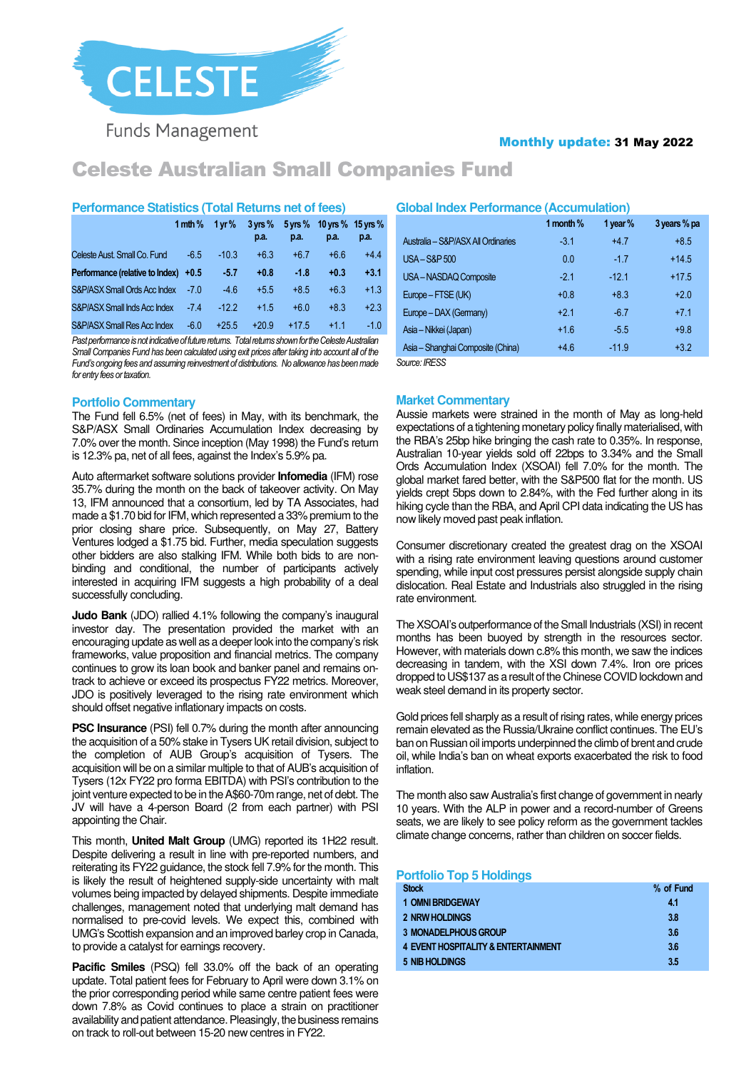

**Funds Management** 

# Monthly update: 31 May 2022

# Celeste Australian Small Companies Fund

# **Performance Statistics (Total Returns net of fees)**

|                                        | 1 mth $%$ | 1 vr $%$ | $3 \gamma$ rs %<br>p.a. | $5 \,\mathrm{vrs}$ %<br>p.a. | p.a.   | 10 yrs % 15 yrs %<br>p.a. |
|----------------------------------------|-----------|----------|-------------------------|------------------------------|--------|---------------------------|
| Celeste Aust. Small Co. Fund           | $-6.5$    | $-10.3$  | $+6.3$                  | $+6.7$                       | $+6.6$ | $+4.4$                    |
| Performance (relative to Index) $+0.5$ |           | -5.7     | $+0.8$                  | $-1.8$                       | $+0.3$ | $+3.1$                    |
| S&P/ASX Small Ords Acc Index           | -70       | $-4.6$   | $+5.5$                  | $+8.5$                       | $+6.3$ | $+1.3$                    |
| S&P/ASX Small Inds Acc Index           | $-7.4$    | $-12.2$  | $+1.5$                  | $+6.0$                       | $+8.3$ | $+2.3$                    |
| S&P/ASX Small Res Acc Index            | $-6.0$    | $+25.5$  | $+20.9$                 | $+17.5$                      | $+11$  | $-1.0$                    |

*Past performance is not indicative of future returns. Total returns shown for the Celeste Australian Small Companies Fund has been calculated using exit prices after taking into account all of the Fund's ongoing fees and assuming reinvestment of distributions. No allowance has been made for entry fees or taxation.* 

# **Portfolio Commentary**

The Fund fell 6.5% (net of fees) in May, with its benchmark, the S&P/ASX Small Ordinaries Accumulation Index decreasing by 7.0% over the month. Since inception (May 1998) the Fund's return is 12.3% pa, net of all fees, against the Index's 5.9% pa.

Auto aftermarket software solutions provider **Infomedia** (IFM) rose 35.7% during the month on the back of takeover activity. On May 13, IFM announced that a consortium, led by TA Associates, had made a \$1.70 bid for IFM, which represented a 33% premium to the prior closing share price. Subsequently, on May 27, Battery Ventures lodged a \$1.75 bid. Further, media speculation suggests other bidders are also stalking IFM. While both bids to are nonbinding and conditional, the number of participants actively interested in acquiring IFM suggests a high probability of a deal successfully concluding.

**Judo Bank** (JDO) rallied 4.1% following the company's inaugural investor day. The presentation provided the market with an encouraging update as well as a deeper look into the company's risk frameworks, value proposition and financial metrics. The company continues to grow its loan book and banker panel and remains ontrack to achieve or exceed its prospectus FY22 metrics. Moreover, JDO is positively leveraged to the rising rate environment which should offset negative inflationary impacts on costs.

**PSC Insurance** (PSI) fell 0.7% during the month after announcing the acquisition of a 50% stake in Tysers UK retail division, subject to the completion of AUB Group's acquisition of Tysers. The acquisition will be on a similar multiple to that of AUB's acquisition of Tysers (12x FY22 pro forma EBITDA) with PSI's contribution to the joint venture expected to be in the A\$60-70m range, net of debt. The JV will have a 4-person Board (2 from each partner) with PSI appointing the Chair.

This month, **United Malt Group** (UMG) reported its 1H22 result. Despite delivering a result in line with pre-reported numbers, and reiterating its FY22 guidance, the stock fell 7.9% for the month. This is likely the result of heightened supply-side uncertainty with malt volumes being impacted by delayed shipments. Despite immediate challenges, management noted that underlying malt demand has normalised to pre-covid levels. We expect this, combined with UMG's Scottish expansion and an improved barley crop in Canada, to provide a catalyst for earnings recovery.

**Pacific Smiles** (PSQ) fell 33.0% off the back of an operating update. Total patient fees for February to April were down 3.1% on the prior corresponding period while same centre patient fees were down 7.8% as Covid continues to place a strain on practitioner availability and patient attendance. Pleasingly, the business remains on track to roll-out between 15-20 new centres in FY22.

## **Global Index Performance (Accumulation)**

|                                    | 1 month % | 1 year % | 3 years % pa |  |  |
|------------------------------------|-----------|----------|--------------|--|--|
| Australia - S&P/ASX All Ordinaries | $-3.1$    | $+47$    | $+8.5$       |  |  |
| <b>USA-S&amp;P500</b>              | 0.0       | $-17$    | $+14.5$      |  |  |
| USA-NASDAQ Composite               | $-21$     | -12.1    | $+17.5$      |  |  |
| Europe - FTSE (UK)                 | $+0.8$    | $+8.3$   | $+20$        |  |  |
| Europe - DAX (Germany)             | $+21$     | $-67$    | $+71$        |  |  |
| Asia - Nikkei (Japan)              | $+16$     | $-5.5$   | $+98$        |  |  |
| Asia - Shanghai Composite (China)  | $+46$     | $-11.9$  | $+3.2$       |  |  |
| Source: IRESS                      |           |          |              |  |  |

**Market Commentary** 

Aussie markets were strained in the month of May as long-held expectations of a tightening monetary policy finally materialised, with the RBA's 25bp hike bringing the cash rate to 0.35%. In response, Australian 10-year yields sold off 22bps to 3.34% and the Small Ords Accumulation Index (XSOAI) fell 7.0% for the month. The global market fared better, with the S&P500 flat for the month. US yields crept 5bps down to 2.84%, with the Fed further along in its hiking cycle than the RBA, and April CPI data indicating the US has now likely moved past peak inflation.

Consumer discretionary created the greatest drag on the XSOAI with a rising rate environment leaving questions around customer spending, while input cost pressures persist alongside supply chain dislocation. Real Estate and Industrials also struggled in the rising rate environment.

The XSOAI's outperformance of the Small Industrials (XSI) in recent months has been buoyed by strength in the resources sector. However, with materials down c.8% this month, we saw the indices decreasing in tandem, with the XSI down 7.4%. Iron ore prices dropped to US\$137 as a result of the Chinese COVID lockdown and weak steel demand in its property sector.

Gold prices fell sharply as a result of rising rates, while energy prices remain elevated as the Russia/Ukraine conflict continues. The EU's ban on Russian oil imports underpinned the climb of brent and crude oil, while India's ban on wheat exports exacerbated the risk to food inflation.

The month also saw Australia's first change of government in nearly 10 years. With the ALP in power and a record-number of Greens seats, we are likely to see policy reform as the government tackles climate change concerns, rather than children on soccer fields.

## **Portfolio Top 5 Holdings**

| <b>Stock</b>                                   | % of Fund |
|------------------------------------------------|-----------|
| <b>1 OMNI BRIDGEWAY</b>                        | 4.1       |
| 2 NRW HOLDINGS                                 | 3.8       |
| <b>3 MONADELPHOUS GROUP</b>                    | 3.6       |
| <b>4 EVENT HOSPITALITY &amp; ENTERTAINMENT</b> | 3.6       |
| 5 NIB HOLDINGS                                 | 3.5       |
|                                                |           |